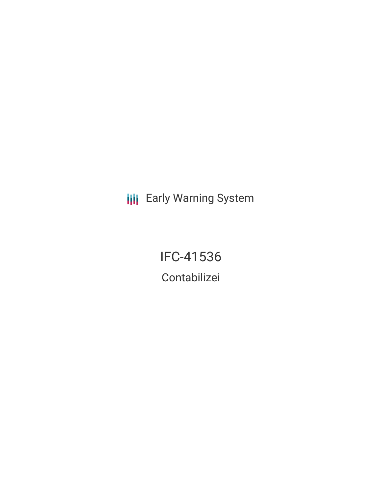**III** Early Warning System

IFC-41536 Contabilizei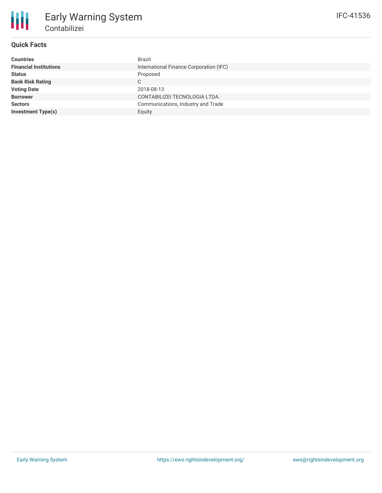

# **Quick Facts**

| <b>Countries</b>              | Brazil                                  |
|-------------------------------|-----------------------------------------|
| <b>Financial Institutions</b> | International Finance Corporation (IFC) |
| <b>Status</b>                 | Proposed                                |
| <b>Bank Risk Rating</b>       | C                                       |
| <b>Voting Date</b>            | 2018-08-13                              |
| <b>Borrower</b>               | CONTABILIZEI TECNOLOGIA LTDA.           |
| <b>Sectors</b>                | Communications, Industry and Trade      |
| <b>Investment Type(s)</b>     | Equity                                  |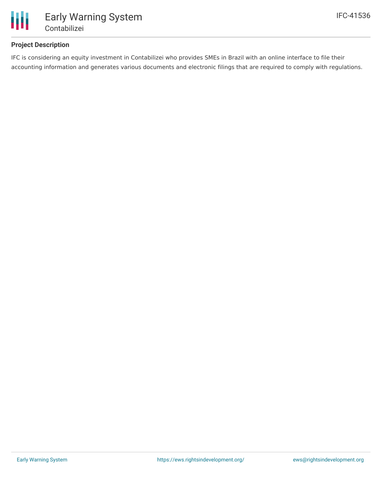

# Early Warning System Contabilizei

# **Project Description**

IFC is considering an equity investment in Contabilizei who provides SMEs in Brazil with an online interface to file their accounting information and generates various documents and electronic filings that are required to comply with regulations.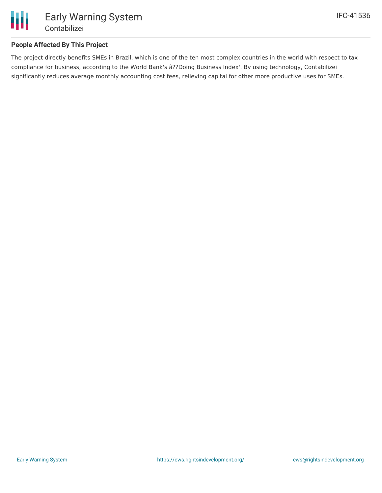

## **People Affected By This Project**

The project directly benefits SMEs in Brazil, which is one of the ten most complex countries in the world with respect to tax compliance for business, according to the World Bank's â??Doing Business Index'. By using technology, Contabilizei significantly reduces average monthly accounting cost fees, relieving capital for other more productive uses for SMEs.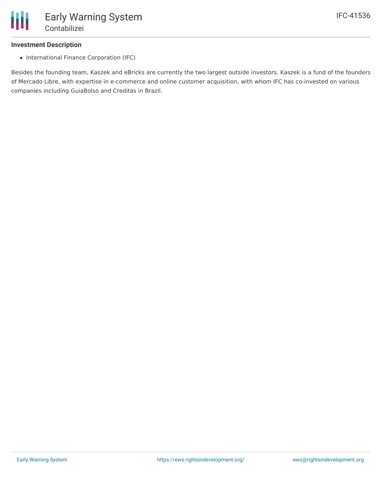

#### **Investment Description**

• International Finance Corporation (IFC)

Besides the founding team, Kaszek and eBricks are currently the two largest outside investors. Kaszek is a fund of the founders of Mercado Libre, with expertise in e-commerce and online customer acquisition, with whom IFC has co-invested on various companies including GuiaBolso and Creditas in Brazil.